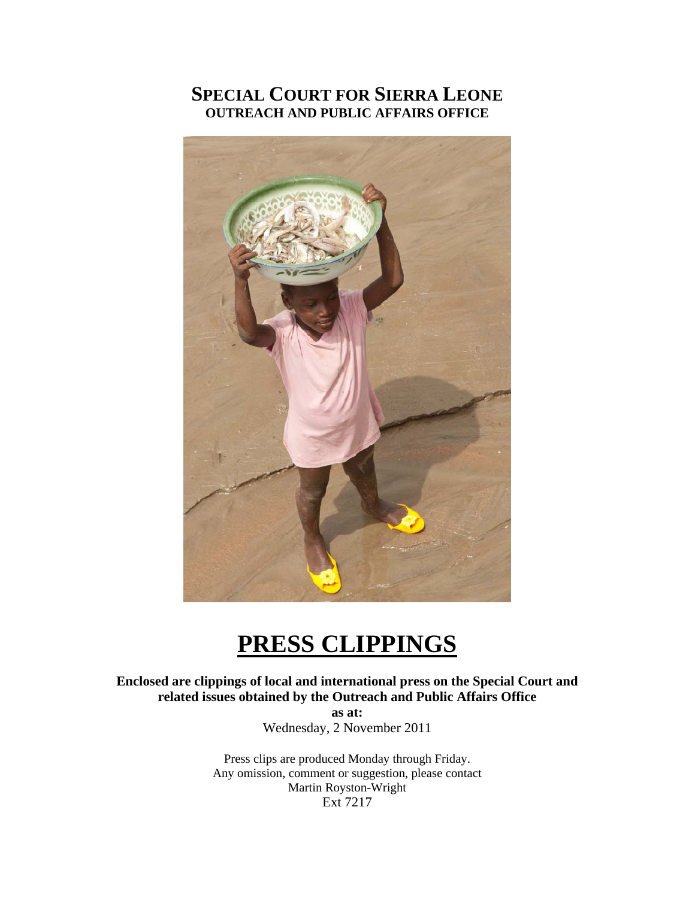## **SPECIAL COURT FOR SIERRA LEONE OUTREACH AND PUBLIC AFFAIRS OFFICE**



# **PRESS CLIPPINGS**

**Enclosed are clippings of local and international press on the Special Court and related issues obtained by the Outreach and Public Affairs Office** 

**as at:**  Wednesday, 2 November 2011

Press clips are produced Monday through Friday. Any omission, comment or suggestion, please contact Martin Royston-Wright Ext 7217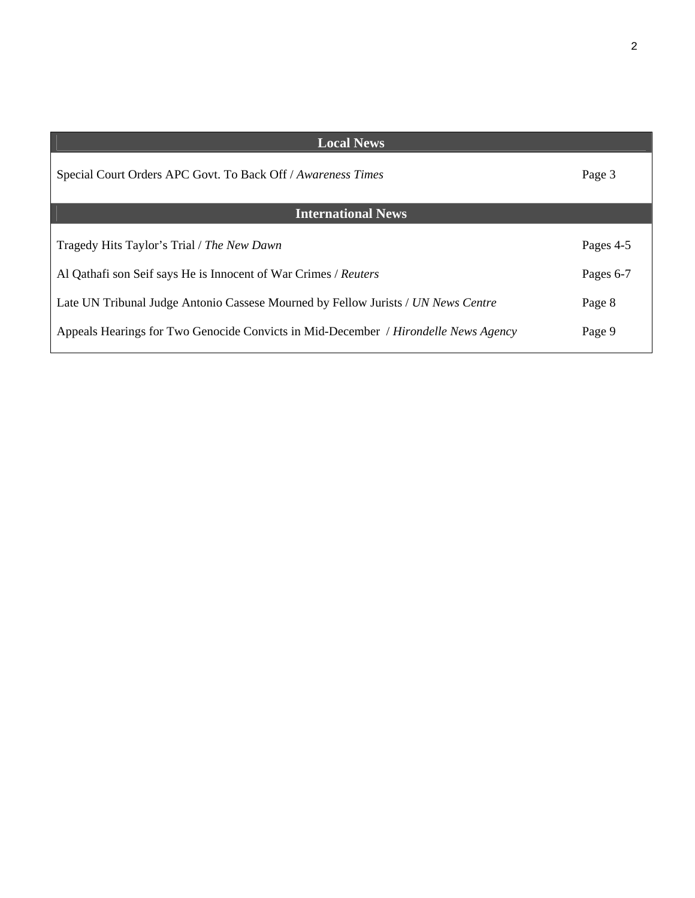| <b>Local News</b>                                                                   |           |
|-------------------------------------------------------------------------------------|-----------|
| Special Court Orders APC Govt. To Back Off / Awareness Times                        | Page 3    |
| <b>International News</b>                                                           |           |
| Tragedy Hits Taylor's Trial / The New Dawn                                          | Pages 4-5 |
| Al Qathafi son Seif says He is Innocent of War Crimes / Reuters                     | Pages 6-7 |
| Late UN Tribunal Judge Antonio Cassese Mourned by Fellow Jurists / UN News Centre   | Page 8    |
| Appeals Hearings for Two Genocide Convicts in Mid-December / Hirondelle News Agency | Page 9    |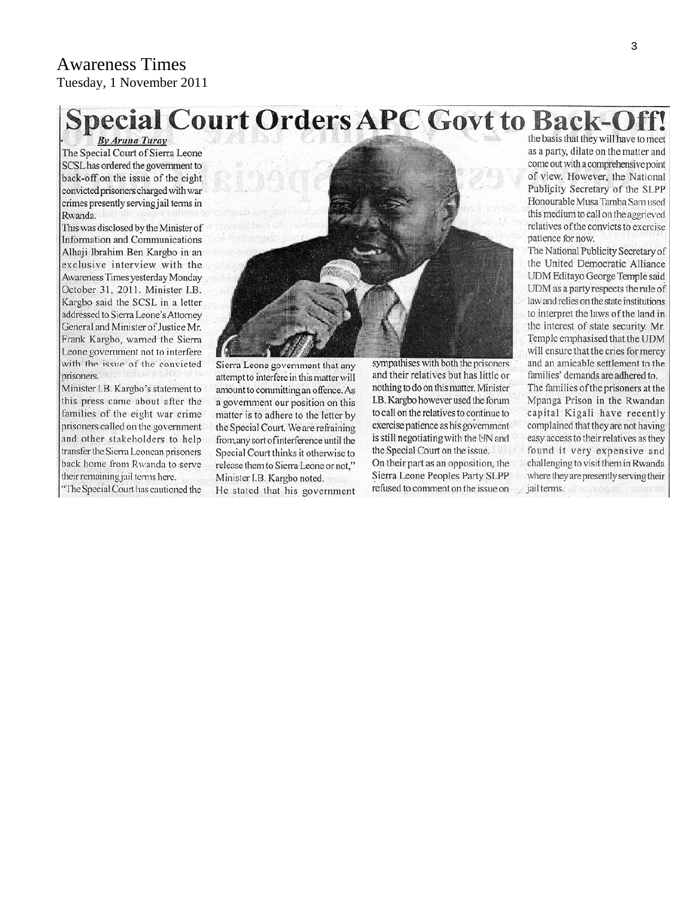#### Awareness Times Tuesday, 1 November 2011

# **Special Court Orders APC Govt to Back-Off**

**By Aruna Turay** The Special Court of Sierra Leone SCSL has ordered the government to back-off on the issue of the eight convicted prisoners charged with war crimes presently serving jail terms in Rwanda.

This was disclosed by the Minister of Information and Communications Alhaji Ibrahim Ben Kargbo in an exclusive interview with the Awareness Times yesterday Monday October 31, 2011. Minister I.B. Kargbo said the SCSL in a letter addressed to Sierra Leone's Attorney General and Minister of Justice Mr. Frank Kargbo, warned the Sierra Leone government not to interfere with the issue of the convicted prisoners.

Minister I.B. Kargbo's statement to this press came about after the families of the eight war crime prisoners called on the government and other stakeholders to help transfer the Sierra Leonean prisoners back home from Rwanda to serve their remaining jail terms here.

"The Special Court has cautioned the



Sierra Leone government that any attempt to interfere in this matter will amount to committing an offence. As a government our position on this matter is to adhere to the letter by the Special Court. We are refraining from any sort of interference until the Special Court thinks it otherwise to release them to Sierra Leone or not," Minister I.B. Kargbo noted.

He stated that his government

sympathises with both the prisoners and their relatives but has little or nothing to do on this matter. Minister I.B. Kargbo however used the forum to call on the relatives to continue to exercise patience as his government is still negotiating with the UN and the Special Court on the issue. On their part as an opposition, the Sierra Leone Peoples Party SLPP refused to comment on the issue on

the basis that they will have to meet as a party, dilate on the matter and come out with a comprehensive point of view. However, the National Publicity Secretary of the SLPP Honourable Musa Tamba Sam used this medium to call on the aggrieved relatives of the convicts to exercise patience for now.

The National Publicity Secretary of the United Democratic Alliance UDM Editayo George Temple said UDM as a party respects the rule of law and relies on the state institutions to interpret the laws of the land in the interest of state security. Mr. Temple emphasised that the UDM will ensure that the cries for mercy and an amicable settlement to the families' demands are adhered to. The families of the prisoners at the Mpanga Prison in the Rwandan capital Kigali have recently complained that they are not having easy access to their relatives as they found it very expensive and challenging to visit them in Rwanda where they are presently serving their jail terms.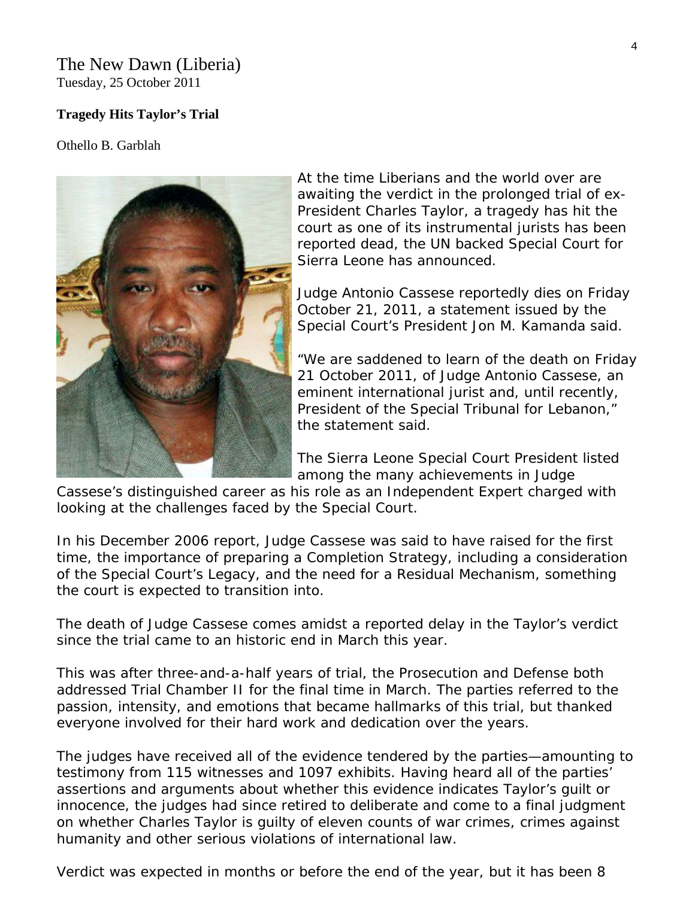#### The New Dawn (Liberia) Tuesday, 25 October 2011

#### **Tragedy Hits Taylor's Trial**

Othello B. Garblah



At the time Liberians and the world over are awaiting the verdict in the prolonged trial of ex-President Charles Taylor, a tragedy has hit the court as one of its instrumental jurists has been reported dead, the UN backed Special Court for Sierra Leone has announced.

Judge Antonio Cassese reportedly dies on Friday October 21, 2011, a statement issued by the Special Court's President Jon M. Kamanda said.

"We are saddened to learn of the death on F riday 21 October 2011, of Judge Antonio Cassese , an eminent international jurist and, until recently, President of the Special Tribunal for Lebanon," the statement said.

The Sierra Leone Special Court President listed among the many achievements in Judge

Cassese's distinguished career as his role as an Independent Expert charged with looking at the challenges faced by the Special Court.

In his December 2006 report, Judge Cassese was said to have raised for the first time, the importance of preparing a Completion Strategy, including a consideration of the Special Court's Legacy, and the need for a Residual Mechanism, something the court is expected to transition into.

The death of Judge Cassese comes amidst a reported delay in the Taylor's verdict since the trial came to an historic end in March this year.

This was after three-and-a-half years of trial, the Prosecution and Defense both addressed Trial Chamber II for the final time in March. The parties referred to the passion, intensity, and emotions that became hallmarks of this trial, but thanked everyone involved for their hard work and dedication over the years.

The judges have received all of the evidence tendered by the parties—amounting to testimony from 115 witnesses and 1097 exhibits. Having heard all of the parties' assertions and arguments about whether this evidence indicates Taylor's guilt or innocence, the judges had since retired to deliberate and come to a final judgment on whether Charles Taylor is guilty of eleven counts of war crimes, crimes against humanity and other serious violations of international law.

Verdict was expected in months or before the end of the year, but it has been 8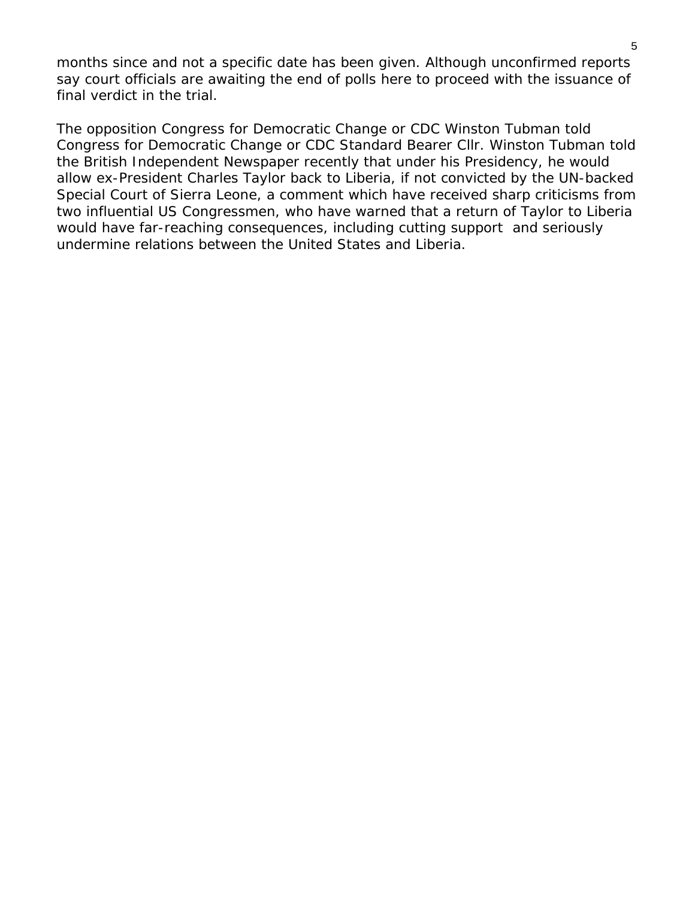months since and not a specific date has been given. Although unconfirmed reports say court officials are awaiting the end of polls here to proceed with the issuance of final verdict in the trial.

The opposition Congress for Democratic Change or CDC Winston Tubman told Congress for Democratic Change or CDC Standard Bearer Cllr. Winston Tubman told the British Independent Newspaper recently that under his Presidency, he would allow ex-President Charles Taylor back to Liberia, if not convicted by the UN-backed Special Court of Sierra Leone, a comment which have received sharp criticisms from two influential US Congressmen, who have warned that a return of Taylor to Liberia would have far-reaching consequences, including cutting support and seriously undermine relations between the United States and Liberia.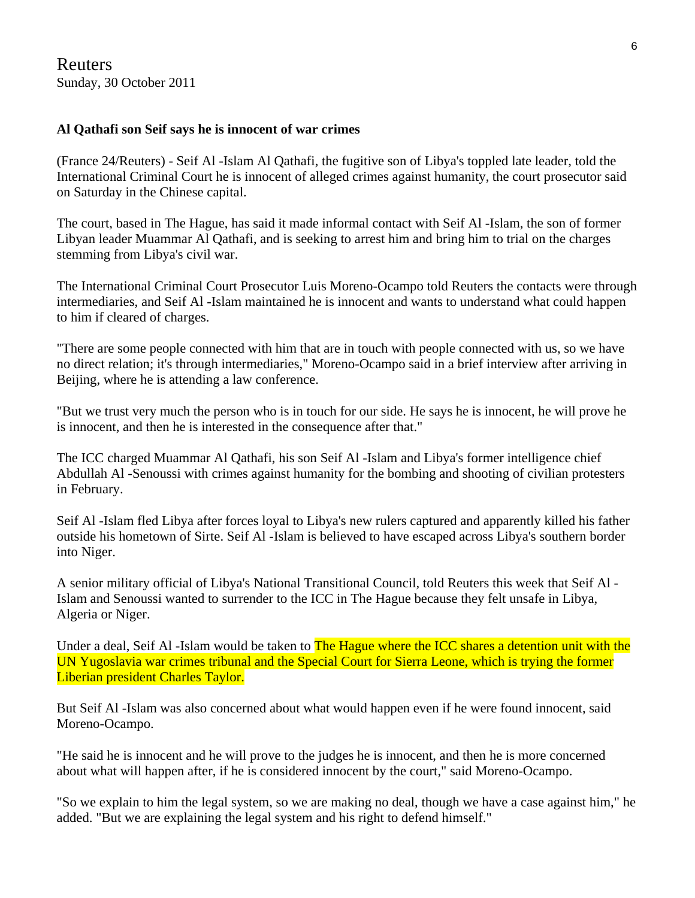Reuters Sunday, 30 October 2011

#### **Al Qathafi son Seif says he is innocent of war crimes**

(France 24/Reuters) - Seif Al -Islam Al Qathafi, the fugitive son of Libya's toppled late leader, told the International Criminal Court he is innocent of alleged crimes against humanity, the court prosecutor said on Saturday in the Chinese capital.

The court, based in The Hague, has said it made informal contact with Seif Al -Islam, the son of former Libyan leader Muammar Al Qathafi, and is seeking to arrest him and bring him to trial on the charges stemming from Libya's civil war.

The International Criminal Court Prosecutor Luis Moreno-Ocampo told Reuters the contacts were through intermediaries, and Seif Al -Islam maintained he is innocent and wants to understand what could happen to him if cleared of charges.

"There are some people connected with him that are in touch with people connected with us, so we have no direct relation; it's through intermediaries," Moreno-Ocampo said in a brief interview after arriving in Beijing, where he is attending a law conference.

"But we trust very much the person who is in touch for our side. He says he is innocent, he will prove he is innocent, and then he is interested in the consequence after that."

The ICC charged Muammar Al Qathafi, his son Seif Al -Islam and Libya's former intelligence chief Abdullah Al -Senoussi with crimes against humanity for the bombing and shooting of civilian protesters in February.

Seif Al -Islam fled Libya after forces loyal to Libya's new rulers captured and apparently killed his father outside his hometown of Sirte. Seif Al -Islam is believed to have escaped across Libya's southern border into Niger.

A senior military official of Libya's National Transitional Council, told Reuters this week that Seif Al - Islam and Senoussi wanted to surrender to the ICC in The Hague because they felt unsafe in Libya, Algeria or Niger.

Under a deal, Seif Al-Islam would be taken to **The Hague where the ICC shares a detention unit with the** UN Yugoslavia war crimes tribunal and the Special Court for Sierra Leone, which is trying the former Liberian president Charles Taylor.

But Seif Al -Islam was also concerned about what would happen even if he were found innocent, said Moreno-Ocampo.

"He said he is innocent and he will prove to the judges he is innocent, and then he is more concerned about what will happen after, if he is considered innocent by the court," said Moreno-Ocampo.

"So we explain to him the legal system, so we are making no deal, though we have a case against him," he added. "But we are explaining the legal system and his right to defend himself."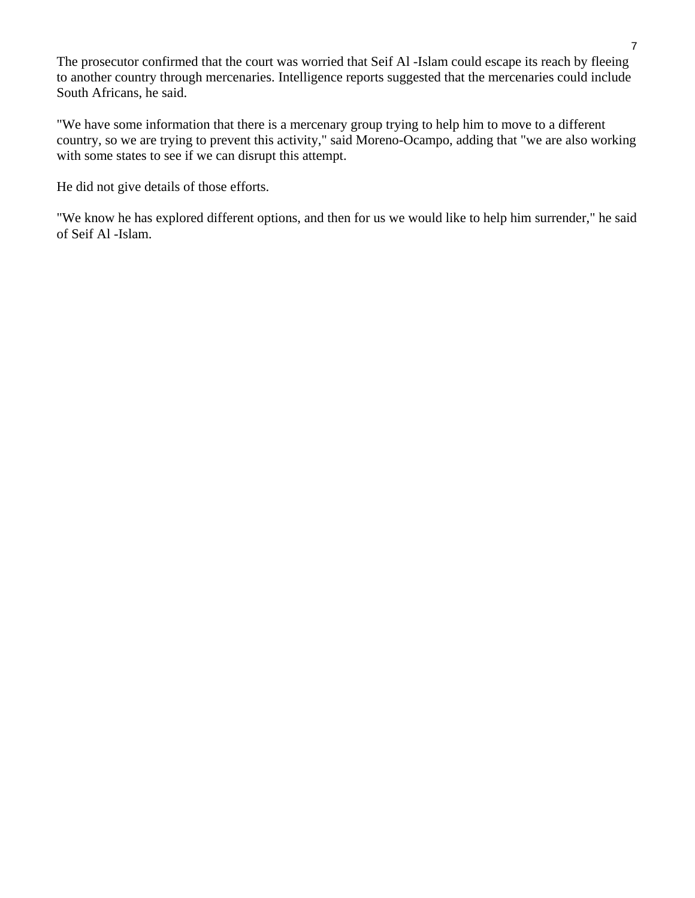The prosecutor confirmed that the court was worried that Seif Al -Islam could escape its reach by fleeing to another country through mercenaries. Intelligence reports suggested that the mercenaries could include South Africans, he said.

"We have some information that there is a mercenary group trying to help him to move to a different country, so we are trying to prevent this activity," said Moreno-Ocampo, adding that "we are also working with some states to see if we can disrupt this attempt.

He did not give details of those efforts.

"We know he has explored different options, and then for us we would like to help him surrender," he said of Seif Al -Islam.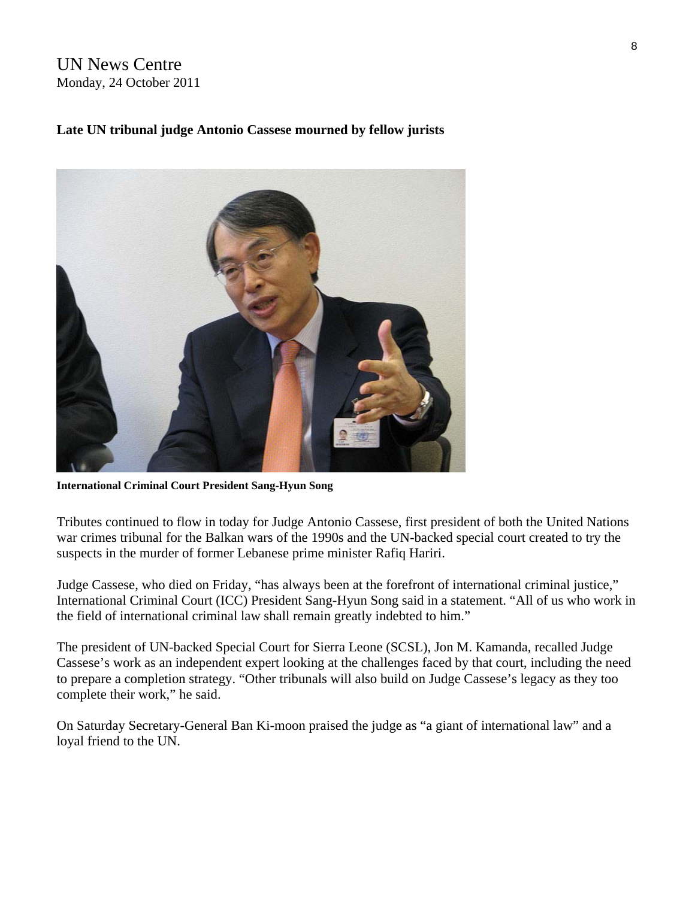### UN News Centre Monday, 24 October 2011

### **Late UN tribunal judge Antonio Cassese mourned by fellow jurists**



**International Criminal Court President Sang-Hyun Song** 

Tributes continued to flow in today for Judge Antonio Cassese, first president of both the United Nations war crimes tribunal for the Balkan wars of the 1990s and the UN-backed special court created to try the suspects in the murder of former Lebanese prime minister Rafiq Hariri.

Judge Cassese, who died on Friday, "has always been at the forefront of international criminal justice," International Criminal Court (ICC) President Sang-Hyun Song said in a statement. "All of us who work in the field of international criminal law shall remain greatly indebted to him."

The president of UN-backed Special Court for Sierra Leone (SCSL), Jon M. Kamanda, recalled Judge Cassese's work as an independent expert looking at the challenges faced by that court, including the need to prepare a completion strategy. "Other tribunals will also build on Judge Cassese's legacy as they too complete their work," he said.

On Saturday Secretary-General Ban Ki-moon praised the judge as "a giant of international law" and a loyal friend to the UN.